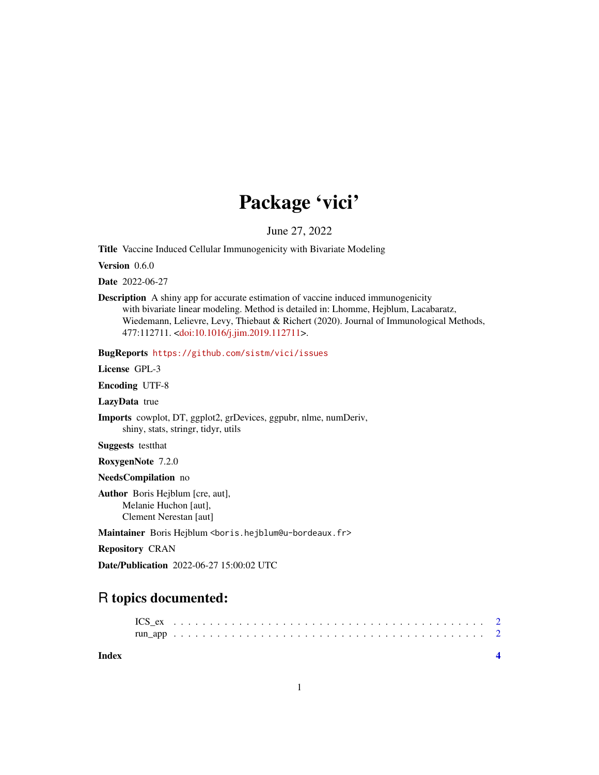## Package 'vici'

June 27, 2022

<span id="page-0-0"></span>Title Vaccine Induced Cellular Immunogenicity with Bivariate Modeling

Version 0.6.0

Date 2022-06-27

Description A shiny app for accurate estimation of vaccine induced immunogenicity with bivariate linear modeling. Method is detailed in: Lhomme, Hejblum, Lacabaratz, Wiedemann, Lelievre, Levy, Thiebaut & Richert (2020). Journal of Immunological Methods, 477:112711. [<doi:10.1016/j.jim.2019.112711>](https://doi.org/10.1016/j.jim.2019.112711).

BugReports <https://github.com/sistm/vici/issues>

License GPL-3

Encoding UTF-8

LazyData true

Imports cowplot, DT, ggplot2, grDevices, ggpubr, nlme, numDeriv, shiny, stats, stringr, tidyr, utils

Suggests testthat

RoxygenNote 7.2.0

NeedsCompilation no

Author Boris Hejblum [cre, aut], Melanie Huchon [aut], Clement Nerestan [aut]

Maintainer Boris Hejblum <boris.hejblum@u-bordeaux.fr>

Repository CRAN

Date/Publication 2022-06-27 15:00:02 UTC

## R topics documented:

**Index** [4](#page-3-0)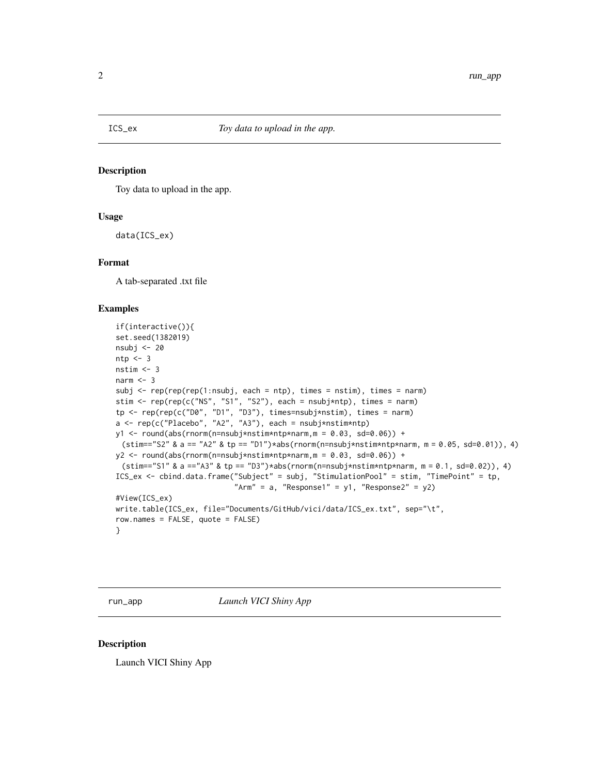<span id="page-1-0"></span>

#### Description

Toy data to upload in the app.

#### Usage

data(ICS\_ex)

#### Format

A tab-separated .txt file

#### Examples

```
if(interactive()){
set.seed(1382019)
nsubj <- 20
ntp < -3nstim < -3narm <-3subj \leq rep(rep(rep(1:nsubj, each = ntp), times = nstim), times = narm)
stim <- rep(rep(c("NS", "S1", "S2"), each = nsubj*ntp), times = narm)
tp <- rep(rep(c("D0", "D1", "D3"), times=nsubj*nstim), times = narm)
a <- rep(c("Placebo", "A2", "A3"), each = nsubj*nstim*ntp)
y1 \le round(abs(rnorm(n=nsubj*nstim*ntp*narm,m = 0.03, sd=0.06)) +
 (\text{stim}=-"S2" \& a == "A2" \& tp == "D1")*abs(rnorm(n=nsubj*nstim*ntp*narm, m = 0.05, sd=0.01)), 4)y2 \le round(abs(rnorm(n=nsubj*nstim*ntp*narm,m = 0.03, sd=0.06)) +
 (\text{stim}== "S1" \& a == "A3" \& tp == "D3") * abs(rnorm(n=nsubj*nstim*ntp*narm, m = 0.1, sd = 0.02)), 4)ICS_ex <- cbind.data.frame("Subject" = subj, "StimulationPool" = stim, "TimePoint" = tp,
                            "Arm" = a, "Response1" = y1, "Response2" = y2)
#View(ICS_ex)
write.table(ICS_ex, file="Documents/GitHub/vici/data/ICS_ex.txt", sep="\t",
row.names = FALSE, quote = FALSE)
}
```
run\_app *Launch VICI Shiny App*

#### Description

Launch VICI Shiny App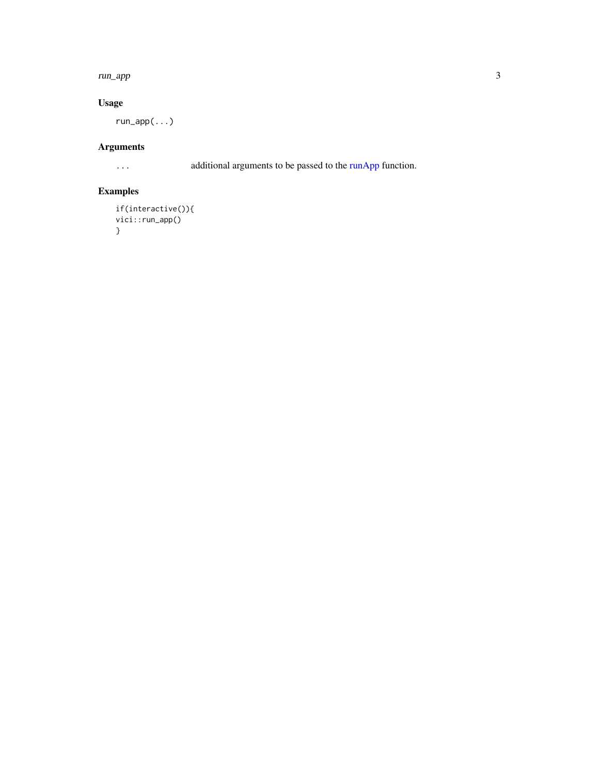#### <span id="page-2-0"></span>run\_app 3

### Usage

run\_app(...)

## Arguments

... additional arguments to be passed to the [runApp](#page-0-0) function.

## Examples

```
if(interactive()){
vici::run_app()
}
```